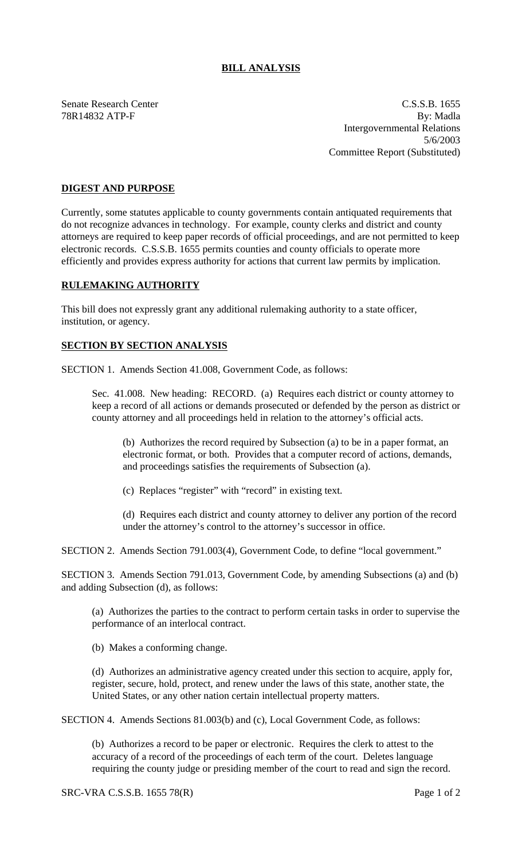## **BILL ANALYSIS**

Senate Research Center C.S.S.B. 1655 78R14832 ATP-F By: Madla Intergovernmental Relations 5/6/2003 Committee Report (Substituted)

## **DIGEST AND PURPOSE**

Currently, some statutes applicable to county governments contain antiquated requirements that do not recognize advances in technology. For example, county clerks and district and county attorneys are required to keep paper records of official proceedings, and are not permitted to keep electronic records. C.S.S.B. 1655 permits counties and county officials to operate more efficiently and provides express authority for actions that current law permits by implication.

## **RULEMAKING AUTHORITY**

This bill does not expressly grant any additional rulemaking authority to a state officer, institution, or agency.

## **SECTION BY SECTION ANALYSIS**

SECTION 1. Amends Section 41.008, Government Code, as follows:

Sec. 41.008. New heading: RECORD. (a) Requires each district or county attorney to keep a record of all actions or demands prosecuted or defended by the person as district or county attorney and all proceedings held in relation to the attorney's official acts.

(b) Authorizes the record required by Subsection (a) to be in a paper format, an electronic format, or both. Provides that a computer record of actions, demands, and proceedings satisfies the requirements of Subsection (a).

(c) Replaces "register" with "record" in existing text.

(d) Requires each district and county attorney to deliver any portion of the record under the attorney's control to the attorney's successor in office.

SECTION 2. Amends Section 791.003(4), Government Code, to define "local government."

SECTION 3. Amends Section 791.013, Government Code, by amending Subsections (a) and (b) and adding Subsection (d), as follows:

(a) Authorizes the parties to the contract to perform certain tasks in order to supervise the performance of an interlocal contract.

(b) Makes a conforming change.

(d) Authorizes an administrative agency created under this section to acquire, apply for, register, secure, hold, protect, and renew under the laws of this state, another state, the United States, or any other nation certain intellectual property matters.

SECTION 4. Amends Sections 81.003(b) and (c), Local Government Code, as follows:

(b) Authorizes a record to be paper or electronic. Requires the clerk to attest to the accuracy of a record of the proceedings of each term of the court. Deletes language requiring the county judge or presiding member of the court to read and sign the record.